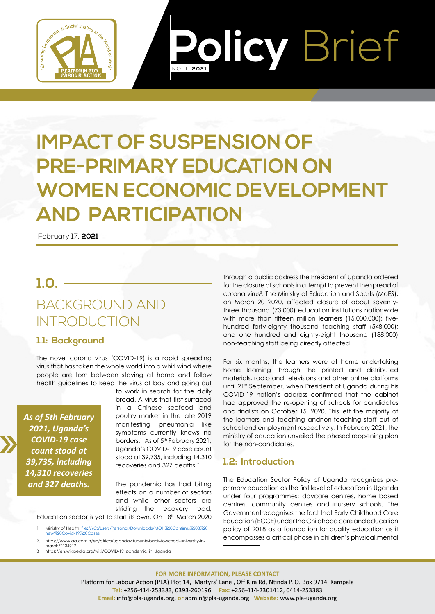Platform for Labour Action (PLA) Plot 14, Martyrs' Lane , Off Kira Rd, Ntinda P. O. Box 9714, Kampala **Tel:** +256-414-253383, 0393-260196 **Fax:** +256-414-2301412, 0414-253383 **Email:** info@pla-uganda.org, **or** admin@pla-uganda.org **Website:** www.pla-uganda.org



# **IMPACT OF SUSPENSION OF PRE-PRIMARY EDUCATION ON WOMEN ECONOMIC DEVELOPMENT AND PARTICIPATION**

*As of 5th February 2021, Uganda's COVID-19 case count stood at 39,735, including 14,310 recoveries and 327 deaths.*

### **1.0.**

# BACKGROUND AND INTRODUCTION

The pandemic has had biting effects on a number of sectors and while other sectors are striding the recovery road, Education sector is yet to start its own. On 18<sup>th</sup> March 2020

### **1.1: Background**

The novel corona virus (COVID-19) is a rapid spreading virus that has taken the whole world into a whirl wind where people are torn between staying at home and follow health guidelines to keep the virus at bay and going out

to work in search for the daily bread. A virus that first surfaced in a Chinese seafood and poultry market in the late 2019 manifesting pneumonia like symptoms currently knows no borders.<sup>1</sup> As of 5<sup>th</sup> February 2021, Uganda's COVID-19 case count stood at 39,735, including 14,310

# **Policy** Brief NO. 1. **2021**

- 1 Ministry of Health, [file:///C:/Users/Personal/Downloads/MOH%20Confirms%208%20](file:///C:/Users/Personal/Downloads/MOH%20Confirms%208%20new%20Covid-19%20Cases) [new%20Covid-19%20Cases](file:///C:/Users/Personal/Downloads/MOH%20Confirms%208%20new%20Covid-19%20Cases)
- 2. https://www.aa.com.tr/en/africa/uganda-students-back-to-school-university-inmarch/2134912
- 3 https://en.wikipedia.org/wiki/COVID-19\_pandemic\_in\_Uganda

through a public address the President of Uganda ordered for the closure of schools in attempt to prevent the spread of corona virus3 . The Ministry of Education and Sports (MoES), on March 20 2020, affected closure of about seventythree thousand (73,000) education institutions nationwide with more than fifteen million learners (15,000,000); fivehundred forty-eighty thousand teaching staff (548,000); and one hundred and eighty-eight thousand (188,000) non-teaching staff being directly affected.

For six months, the learners were at home undertaking home learning through the printed and distributed materials, radio and televisions and other online platforms until 21st September, when President of Uganda during his COVID-19 nation's address confirmed that the cabinet had approved the re-opening of schools for candidates and finalists on October 15, 2020. This left the majority of the learners and teaching andnon-teaching staff out of school and employment respectively. In February 2021, the ministry of education unveiled the phased reopening plan for the non-candidates.

### **1.2: Introduction**

recoveries and 327 deaths. $^{\rm 2}$ 

The Education Sector Policy of Uganda recognizes preprimary education as the first level of education in Uganda under four programmes; daycare centres, home based centres, community centres and nursery schools. The Governmentrecognises the fact that Early Childhood Care Education (ECCE) under the Childhood care and education policy of 2018 as a foundation for quality education as it encompasses a critical phase in children's physical,mental

February 17, **2021**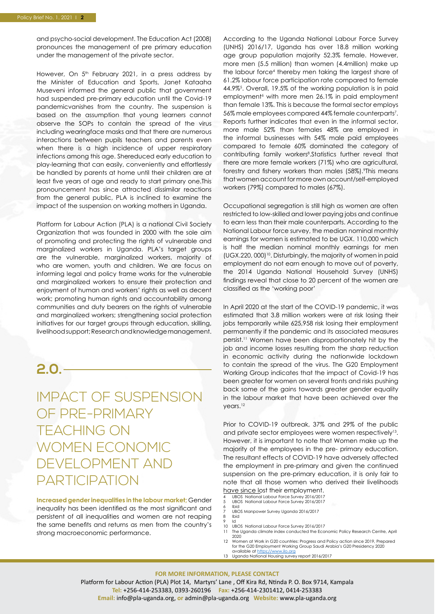Platform for Labour Action (PLA) Plot 14, Martyrs' Lane , Off Kira Rd, Ntinda P. O. Box 9714, Kampala **Tel:** +256-414-253383, 0393-260196 **Fax:** +256-414-2301412, 0414-253383 **Email:** info@pla-uganda.org, **or** admin@pla-uganda.org **Website:** www.pla-uganda.org

and psycho-social development. The Education Act (2008) pronounces the management of pre primary education under the management of the private sector.

However, On 5<sup>th</sup> February 2021, in a press address by the Minister of Education and Sports, Janet Kataaha Museveni informed the general public that government had suspended pre-primary education until the Covid-19 pandemicvanishes from the country. The suspension is based on the assumption that young learners cannot observe the SOPs to contain the spread of the virus including wearingface masks and that there are numerous interactions between pupils teachers and parents even when there is a high incidence of upper respiratory infections among this age. Shereduced early education to play-learning that can easily, conveniently and effortlessly be handled by parents at home until their children are at least five years of age and ready to start primary one.This pronouncement has since attracted dissimilar reactions from the general public, PLA is inclined to examine the impact of the suspension on working mothers in Uganda.

Platform for Labour Action (PLA) is a national Civil Society Organization that was founded in 2000 with the sole aim of promoting and protecting the rights of vulnerable and marginalized workers in Uganda. PLA's target groups are the vulnerable, marginalized workers, majority of who are women, youth and children. We are focus on informing legal and policy frame works for the vulnerable and marginalized workers to ensure their protection and enjoyment of human and workers' rights as well as decent work; promoting human rights and accountability among communities and duty bearers on the rights of vulnerable and marginalized workers; strengthening social protection initiatives for our target groups through education, skilling, livelihood support; Research and knowledge management.

In April 2020 at the start of the COVID-19 pandemic, it was estimated that 3.8 million workers were at risk losing their jobs temporarily while 625,958 risk losing their employment permanently if the pandemic and its associated measures persist.11 Women have been disproportionately hit by the job and income losses resulting from the sharp reduction in economic activity during the nationwide lockdown to contain the spread of the virus. The G20 Employment Working Group indicates that the impact of Covid-19 has been greater for women on several fronts and risks pushing back some of the gains towards greater gender equality in the labour market that have been achieved over the years.<sup>12</sup>

## **2.0.**

IMPACT OF SUSPENSION OF PRE-PRIMARY TEACHING ON WOMEN ECONOMIC DEVELOPMENT AND

# PARTICIPATION

**Increased gender inequalities in the labour market;** Gender inequality has been identified as the most significant and persistent of all inequalities and women are not reaping the same benefits and returns as men from the country's strong macroeconomic performance.

According to the Uganda National Labour Force Survey (UNHS) 2016/17, Uganda has over 18.8 million working age group population majority 52.3% female. However, more men (5.5 million) than women (4.4million) make up the labour force<sup>4</sup> thereby men taking the largest share of 61.2% labour force participation rate compared to female 44.9%<sup>5</sup>. Overall, 19.5% of the working population is in paid employment<sup>6</sup> with more men 26.1% in paid employment than female 13%. This is because the formal sector employs 56% male employees compared 44% female counterparts<sup>7</sup> . Reports further indicates that even in the informal sector, more male 52% than females 48% are employed in the informal businesses with 54% male paid employees compared to female 60% dominated the category of contributing family workers<sup>8</sup>.Statistics further reveal that there are more female workers (71%) who are agricultural, forestry and fishery workers than males (58%).<sup>9</sup>This means that women account for more own account/self-employed workers (79%) compared to males (67%).

Occupational segregation is still high as women are often restricted to low-skilled and lower paying jobs and continue to earn less than their male counterparts. According to the National Labour force survey, the median nominal monthly earnings for women is estimated to be UGX. 110,000 which is half the median nominal monthly earnings for men  $(UGX.220, 000)^{10}$ . Disturbingly, the majority of women in paid employment do not earn enough to move out of poverty, the 2014 Uganda National Household Survey (UNHS) findings reveal that close to 20 percent of the women are classified as the 'working poor'

Prior to COVID-19 outbreak, 37% and 29% of the public and private sector employees were women respectively<sup>13</sup>. However, it is important to note that Women make up the majority of the employees in the pre- primary education. The resultant effects of COVID-19 have adversely affected the employment in pre-primary and given the continued suspension on the pre-primary education, it is only fair to note that all those women who derived their livelihoods

### have since lost their employment.

- 4 UBOS National Labour Force Survey 2016/2017
- 5 UBOS National Labour Force Survey 2016/2017
- 6 Ibid
- 7 UBOS Manpower Survey Uganda 2016/2017
- 8 Ibid<br>9 Id
- 9 Id
- 10 UBOS National Labour Force Survey 2016/2017
- 11 The Uganda climate index conducted the Economic Policy Research Centre, April 2020
- 12 Women at Work in G20 countries: Progress and Policy action since 2019, Prepared for the G20 Employment Working Group Saudi Arabia's G20 Presidency 2020 available at <https://www.ilo.org>
- 13 Uganda National Housing survey report 2016/2017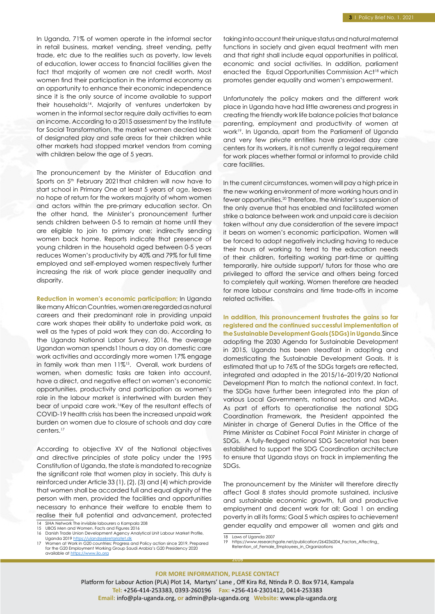Platform for Labour Action (PLA) Plot 14, Martyrs' Lane , Off Kira Rd, Ntinda P. O. Box 9714, Kampala

**Tel:** +256-414-253383, 0393-260196 **Fax:** +256-414-2301412, 0414-253383

**Email:** info@pla-uganda.org, **or** admin@pla-uganda.org **Website:** www.pla-uganda.org

In Uganda, 71% of women operate in the informal sector in retail business, market vending, street vending, petty trade, etc due to the realities such as poverty, low levels of education, lower access to financial facilities given the fact that majority of women are not credit worth. Most women find their participation in the informal economy as an opportunity to enhance their economic independence since it is the only source of income available to support their households14. Majority of ventures undertaken by women in the informal sector require daily activities to earn an income. According to a 2015 assessment by the Institute for Social Transformation, the market women decried lack of designated play and safe areas for their children while other markets had stopped market vendors from coming with children below the age of 5 years.

**Reduction in women's economic participation;** In Uganda like many African Countries, women are regarded as natural careers and their predominant role in providing unpaid care work shapes their ability to undertake paid work, as well as the types of paid work they can do. According to the Uganda National Labor Survey, 2016, the average Ugandan woman spends11hours a day on domestic care work activities and accordingly more women 17% engage in family work than men  $11\%$ <sup>15</sup>. Overall, work burdens of women, when domestic tasks are taken into account, have a direct, and negative effect on women's economic opportunities, productivity and participation as women's role in the labour market is intertwined with burden they bear of unpaid care work.<sup>16</sup>Key of the resultant effects of COVID-19 health crisis has been the increased unpaid work burden on women due to closure of schools and day care centers.<sup>17</sup>

The pronouncement by the Minister of Education and Sports on 5<sup>th</sup> February 2021 that children will now have to start school in Primary One at least 5 years of age, leaves no hope of return for the workers majority of whom women and actors within the pre-primary education sector. On the other hand, the Minister's pronouncement further sends children between 0-5 to remain at home until they are eligible to join to primary one; indirectly sending women back home. Reports indicate that presence of young children in the household aged between 0-5 years reduces Women's productivity by 40% and 79% for full time employed and self-employed women respectively further increasing the risk of work place gender inequality and disparity.

According to objective XV of the National objectives and directive principles of state policy under the 1995 Constitution of Uganda, the state is mandated to recognize the significant role that women play in society. This duty is reinforced under Article 33 (1), (2), (3) and (4) which provide that women shall be accorded full and equal dignity of the person with men, provided the facilities and opportunities necessary to enhance their welfare to enable them to realise their full potential and advancement, protected

- 15 UBOS Men and Women. Facts and Figures 2016
- 16 Danish Trade Union Development Agency Analytical Unit Labour Market Profile, Uganda 2019 https://ulandssekretariatet.d
- 17 Women at Work in G20 countries: Progress and Policy action since 2019, Prepared for the G20 Employment Working Group Saudi Arabia's G20 Presidency 2020 available at <https://www.ilo.org>

taking into account their unique status and natural maternal functions in society and given equal treatment with men and that right shall include equal opportunities in political, economic and social activities. In addition, parliament enacted the Equal Opportunities Commission Act<sup>18</sup> which promotes gender equality and women's empowerment.

Unfortunately the policy makers and the different work place in Uganda have had little awareness and progress in creating the friendly work life balance policies that balance parenting, employment and productivity of women at work<sup>19</sup>. In Uganda, apart from the Parliament of Uganda and very few private entities have provided day care centers for its workers, it is not currently a legal requirement for work places whether formal or informal to provide child care facilities.

In the current circumstances, women will pay a high price in the new working environment of more working hours and in fewer opportunities.20 Therefore, the Minister's suspension of the only avenue that has enabled and facilitated women strike a balance between work and unpaid care is decision taken without any due consideration of the severe impact it bears on women's economic participation. Women will be forced to adopt negatively including having to reduce their hours of working to tend to the education needs of their children, forfeiting working part-time or quitting temporarily, hire outside support/ tutors for those who are privileged to afford the service and others being forced to completely quit working. Women therefore are headed for more labour constrains and time trade-offs in income related activities.

**In addition, this pronouncement frustrates the gains so far registered and the continued successful implementation of the Sustainable Development Goals (SDGs) in Uganda.**Since adopting the 2030 Agenda for Sustainable Development in 2015, Uganda has been steadfast in adopting and domesticating the Sustainable Development Goals. It is estimated that up to 76% of the SDGs targets are reflected, integrated and adapted in the 2015/16–2019/20 National Development Plan to match the national context. In fact, the SDGs have further been integrated into the plan of various Local Governments, national sectors and MDAs. As part of efforts to operationalise the national SDG Coordination Framework, the President appointed the Minister in charge of General Duties in the Office of the Prime Minister as Cabinet Focal Point Minister in charge of SDGs. A fully-fledged national SDG Secretariat has been established to support the SDG Coordination architecture to ensure that Uganda stays on track in implementing the SDGs.

The pronouncement by the Minister will therefore directly affect Goal 8 states should promote sustained, inclusive and sustainable economic growth, full and productive employment and decent work for all; Goal 1 on ending poverty in all its forms; Goal 5 which aspires to achievement gender equality and empower all women and girls and

### 2016

<sup>14</sup> SIHA Network The invisible labourers o Kampala 208

<sup>18</sup> Laws of Uganda 2007

<sup>19</sup> [https://www.researchgate.net/publication/264236204\\_Factors\\_Affecting\\_](https://www.researchgate.net/publication/264236204_Factors_Affecting_Retention_of_Female_Employees_in_Organizations) [Retention\\_of\\_Female\\_Employees\\_in\\_Organizations](https://www.researchgate.net/publication/264236204_Factors_Affecting_Retention_of_Female_Employees_in_Organizations)